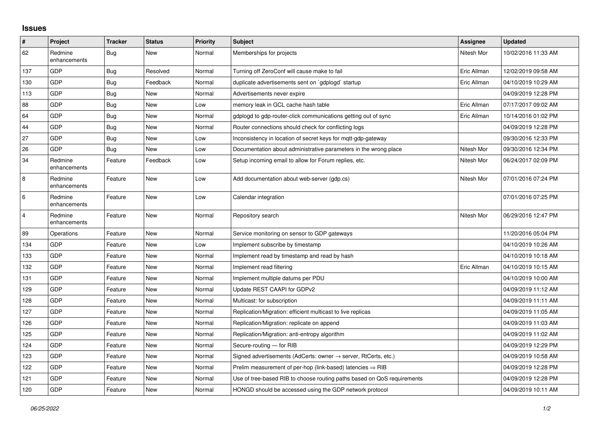## **Issues**

| $\vert$ #      | Project                 | <b>Tracker</b> | <b>Status</b> | <b>Priority</b> | <b>Subject</b>                                                             | Assignee    | <b>Updated</b>      |
|----------------|-------------------------|----------------|---------------|-----------------|----------------------------------------------------------------------------|-------------|---------------------|
| 62             | Redmine<br>enhancements | Bug            | <b>New</b>    | Normal          | Memberships for projects                                                   | Nitesh Mor  | 10/02/2016 11:33 AM |
| 137            | <b>GDP</b>              | Bug            | Resolved      | Normal          | Turning off ZeroConf will cause make to fail                               | Eric Allman | 12/02/2019 09:58 AM |
| 130            | <b>GDP</b>              | Bug            | Feedback      | Normal          | duplicate advertisements sent on `gdplogd` startup                         | Eric Allman | 04/10/2019 10:29 AM |
| 113            | GDP                     | Bug            | <b>New</b>    | Normal          | Advertisements never expire                                                |             | 04/09/2019 12:28 PM |
| 88             | <b>GDP</b>              | <b>Bug</b>     | <b>New</b>    | Low             | memory leak in GCL cache hash table                                        | Eric Allman | 07/17/2017 09:02 AM |
| 64             | <b>GDP</b>              | <b>Bug</b>     | <b>New</b>    | Normal          | gdplogd to gdp-router-click communications getting out of sync             | Eric Allman | 10/14/2016 01:02 PM |
| 44             | GDP                     | Bug            | <b>New</b>    | Normal          | Router connections should check for conflicting logs                       |             | 04/09/2019 12:28 PM |
| 27             | <b>GDP</b>              | Bug            | <b>New</b>    | Low             | Inconsistency in location of secret keys for mgtt-gdp-gateway              |             | 09/30/2016 12:33 PM |
| 26             | <b>GDP</b>              | Bug            | New           | Low             | Documentation about administrative parameters in the wrong place           | Nitesh Mor  | 09/30/2016 12:34 PM |
| 34             | Redmine<br>enhancements | Feature        | Feedback      | Low             | Setup incoming email to allow for Forum replies, etc.                      | Nitesh Mor  | 06/24/2017 02:09 PM |
| 8              | Redmine<br>enhancements | Feature        | <b>New</b>    | Low             | Add documentation about web-server (gdp.cs)                                | Nitesh Mor  | 07/01/2016 07:24 PM |
| 6              | Redmine<br>enhancements | Feature        | <b>New</b>    | Low             | Calendar integration                                                       |             | 07/01/2016 07:25 PM |
| $\overline{4}$ | Redmine<br>enhancements | Feature        | <b>New</b>    | Normal          | Repository search                                                          | Nitesh Mor  | 06/29/2016 12:47 PM |
| 89             | Operations              | Feature        | <b>New</b>    | Normal          | Service monitoring on sensor to GDP gateways                               |             | 11/20/2016 05:04 PM |
| 134            | GDP                     | Feature        | <b>New</b>    | Low             | Implement subscribe by timestamp                                           |             | 04/10/2019 10:26 AM |
| 133            | GDP                     | Feature        | <b>New</b>    | Normal          | Implement read by timestamp and read by hash                               |             | 04/10/2019 10:18 AM |
| 132            | <b>GDP</b>              | Feature        | <b>New</b>    | Normal          | Implement read filtering                                                   | Eric Allman | 04/10/2019 10:15 AM |
| 131            | <b>GDP</b>              | Feature        | <b>New</b>    | Normal          | Implement multiple datums per PDU                                          |             | 04/10/2019 10:00 AM |
| 129            | <b>GDP</b>              | Feature        | <b>New</b>    | Normal          | Update REST CAAPI for GDPv2                                                |             | 04/09/2019 11:12 AM |
| 128            | <b>GDP</b>              | Feature        | <b>New</b>    | Normal          | Multicast: for subscription                                                |             | 04/09/2019 11:11 AM |
| 127            | GDP                     | Feature        | <b>New</b>    | Normal          | Replication/Migration: efficient multicast to live replicas                |             | 04/09/2019 11:05 AM |
| 126            | GDP                     | Feature        | <b>New</b>    | Normal          | Replication/Migration: replicate on append                                 |             | 04/09/2019 11:03 AM |
| 125            | <b>GDP</b>              | Feature        | New           | Normal          | Replication/Migration: anti-entropy algorithm                              |             | 04/09/2019 11:02 AM |
| 124            | GDP                     | Feature        | <b>New</b>    | Normal          | Secure-routing - for RIB                                                   |             | 04/09/2019 12:29 PM |
| 123            | <b>GDP</b>              | Feature        | <b>New</b>    | Normal          | Signed advertisements (AdCerts: owner $\rightarrow$ server, RtCerts, etc.) |             | 04/09/2019 10:58 AM |
| 122            | <b>GDP</b>              | Feature        | New           | Normal          | Prelim measurement of per-hop (link-based) latencies $\Rightarrow$ RIB     |             | 04/09/2019 12:28 PM |
| 121            | GDP                     | Feature        | <b>New</b>    | Normal          | Use of tree-based RIB to choose routing paths based on QoS requirements    |             | 04/09/2019 12:28 PM |
| 120            | GDP                     | Feature        | <b>New</b>    | Normal          | HONGD should be accessed using the GDP network protocol                    |             | 04/09/2019 10:11 AM |